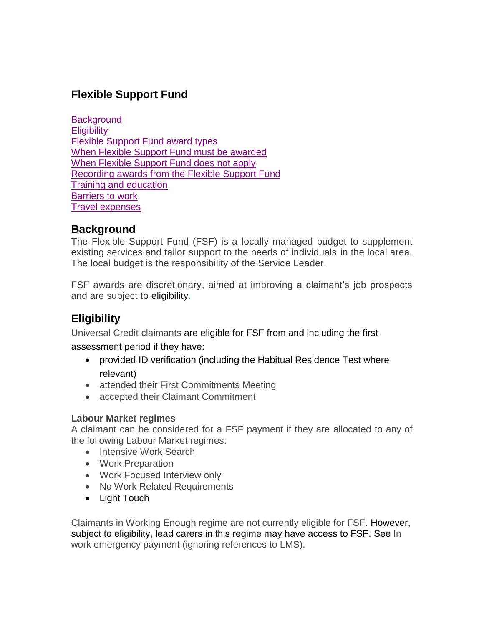# **Flexible Support Fund**

**[Background](#page-0-0) [Eligibility](#page-0-1)** [Flexible Support Fund award types](#page-1-0) [When Flexible Support Fund must be awarded](#page-2-0) [When Flexible Support Fund does not apply](#page-2-1) [Recording awards from the Flexible Support Fund](#page-3-0) [Training and education](#page-4-0) [Barriers to work](#page-6-0) [Travel expenses](#page-7-0)

## <span id="page-0-0"></span>**Background**

The Flexible Support Fund (FSF) is a locally managed budget to supplement existing services and tailor support to the needs of individuals in the local area. The local budget is the responsibility of the Service Leader.

FSF awards are discretionary, aimed at improving a claimant's job prospects and are subject to eligibility.

# <span id="page-0-1"></span>**Eligibility**

Universal Credit claimants are eligible for FSF from and including the first

assessment period if they have:

- provided ID verification (including the Habitual Residence Test where relevant)
- attended their First Commitments Meeting
- accepted their Claimant Commitment

### **Labour Market regimes**

A claimant can be considered for a FSF payment if they are allocated to any of the following Labour Market regimes:

- Intensive Work Search
- Work Preparation
- Work Focused Interview only
- No Work Related Requirements
- Light Touch

Claimants in Working Enough regime are not currently eligible for FSF. However, subject to eligibility, lead carers in this regime may have access to FSF. See In work emergency payment (ignoring references to LMS).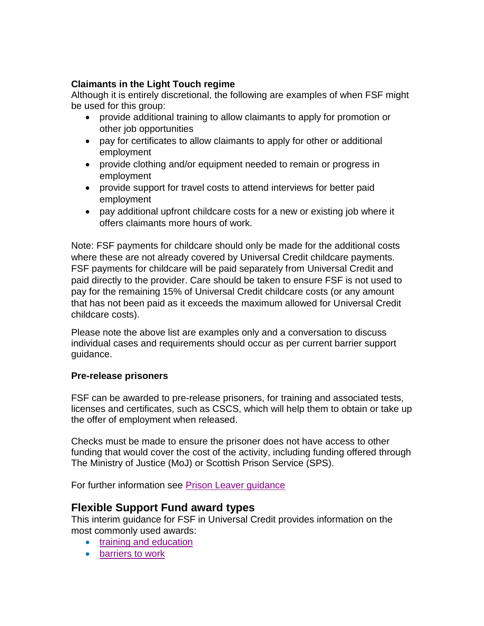### **Claimants in the Light Touch regime**

Although it is entirely discretional, the following are examples of when FSF might be used for this group:

- provide additional training to allow claimants to apply for promotion or other job opportunities
- pay for certificates to allow claimants to apply for other or additional employment
- provide clothing and/or equipment needed to remain or progress in employment
- provide support for travel costs to attend interviews for better paid employment
- pay additional upfront childcare costs for a new or existing job where it offers claimants more hours of work.

Note: FSF payments for childcare should only be made for the additional costs where these are not already covered by Universal Credit childcare payments. FSF payments for childcare will be paid separately from Universal Credit and paid directly to the provider. Care should be taken to ensure FSF is not used to pay for the remaining 15% of Universal Credit childcare costs (or any amount that has not been paid as it exceeds the maximum allowed for Universal Credit childcare costs).

Please note the above list are examples only and a conversation to discuss individual cases and requirements should occur as per current barrier support guidance.

### **Pre-release prisoners**

FSF can be awarded to pre-release prisoners, for training and associated tests, licenses and certificates, such as CSCS, which will help them to obtain or take up the offer of employment when released.

Checks must be made to ensure the prisoner does not have access to other funding that would cover the cost of the activity, including funding offered through The Ministry of Justice (MoJ) or Scottish Prison Service (SPS).

For further information see [Prison Leaver guidance](https://intranet.dwp.gov.uk/policy/prisoners)

### <span id="page-1-0"></span>**Flexible Support Fund award types**

This interim guidance for FSF in Universal Credit provides information on the most commonly used awards:

- [training and education](#page-4-0)
- [barriers to work](#page-6-0)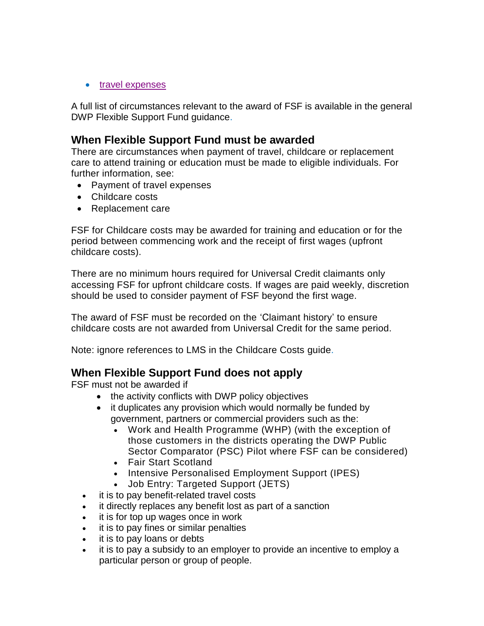#### • [travel expenses](#page-7-0)

A full list of circumstances relevant to the award of FSF is available in the general DWP Flexible Support Fund guidance.

### <span id="page-2-0"></span>**When Flexible Support Fund must be awarded**

There are circumstances when payment of travel, childcare or replacement care to attend training or education must be made to eligible individuals. For further information, see:

- Payment of travel expenses
- Childcare costs
- [Replacement](https://intranet.dwp.gov.uk/manual/flexible-support-fund-guide/08-payment-replacement-care-costs) care

FSF for Childcare costs may be awarded for training and education [o](https://intranet.dwp.gov.uk/policy/flexible-support-fund#Training)r for the period between commencing work and the receipt of first wages (upfront childcare costs).

There are no minimum hours required for Universal Credit claimants only accessing FSF for upfront childcare costs. If wages are paid weekly, discretion should be used to consider payment of FSF beyond the first wage.

The award of FSF must be recorded on the 'Claimant history' to ensure childcare costs are not awarded from Universal Credit for the same period.

Note: ignore references to LMS in the Childcare Costs guide.

## <span id="page-2-1"></span>**When Flexible Support Fund does not apply**

FSF must not be awarded if

- the activity conflicts with DWP policy objectives
- it duplicates any provision which would normally be funded by government, partners or commercial providers such as the:
	- Work and Health Programme (WHP) (with the exception of those customers in the districts operating the DWP Public Sector Comparator (PSC) Pilot where FSF can be considered)
	- Fair Start Scotland
	- Intensive Personalised Employment Support (IPES)
	- Job Entry: Targeted Support (JETS)
- it is to pay benefit-related travel costs
- it directly replaces any benefit lost as part of a sanction
- it is for top up wages once in work
- it is to pay fines or similar penalties
- it is to pay loans or debts
- it is to pay a subsidy to an employer to provide an incentive to employ a particular person or group of people.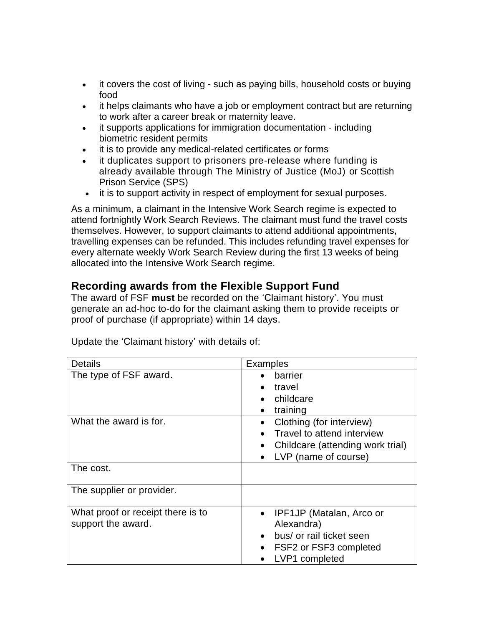- it covers the cost of living such as paying bills, household costs or buying food
- it helps claimants who have a job or employment contract but are returning to work after a career break or maternity leave.
- it supports applications for immigration documentation including biometric resident permits
- it is to provide any medical-related certificates or forms
- it duplicates support to prisoners pre-release where funding is already available through The Ministry of Justice (MoJ) or Scottish Prison Service (SPS)
- it is to support activity in respect of employment for sexual purposes.

As a minimum, a claimant in the Intensive Work Search regime is expected to attend fortnightly Work Search Reviews. The claimant must fund the travel costs themselves. However, to support claimants to attend additional appointments, travelling expenses can be refunded. This includes refunding travel expenses for every alternate weekly Work Search Review during the first 13 weeks of being allocated into the Intensive Work Search regime.

## <span id="page-3-0"></span>**Recording awards from the Flexible Support Fund**

The award of FSF **must** be recorded on the 'Claimant history'. You must generate an ad-hoc to-do for the claimant asking them to provide receipts or proof of purchase (if appropriate) within 14 days.

| Details                                                 | <b>Examples</b>                                                                                                                          |
|---------------------------------------------------------|------------------------------------------------------------------------------------------------------------------------------------------|
| The type of FSF award.                                  | barrier<br>travel<br>childcare<br>training                                                                                               |
| What the award is for.                                  | Clothing (for interview)<br>Travel to attend interview<br>Childcare (attending work trial)<br>LVP (name of course)                       |
| The cost.                                               |                                                                                                                                          |
| The supplier or provider.                               |                                                                                                                                          |
| What proof or receipt there is to<br>support the award. | IPF1JP (Matalan, Arco or<br>$\bullet$<br>Alexandra)<br>bus/ or rail ticket seen<br>$\bullet$<br>FSF2 or FSF3 completed<br>LVP1 completed |

Update the 'Claimant history' with details of: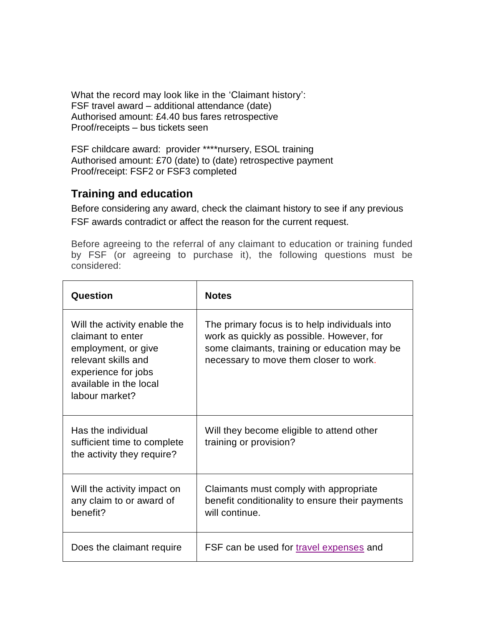What the record may look like in the 'Claimant history': FSF travel award – additional attendance (date) Authorised amount: £4.40 bus fares retrospective Proof/receipts – bus tickets seen

FSF childcare award: provider \*\*\*\*nursery, ESOL training Authorised amount: £70 (date) to (date) retrospective payment Proof/receipt: FSF2 or FSF3 completed

## <span id="page-4-0"></span>**Training and education**

Before considering any award, check the claimant history to see if any previous FSF awards contradict or affect the reason for the current request.

Before agreeing to the referral of any claimant to education or training funded by FSF (or agreeing to purchase it), the following questions must be considered:

| Question                                                                                                                                                           | <b>Notes</b>                                                                                                                                                                         |
|--------------------------------------------------------------------------------------------------------------------------------------------------------------------|--------------------------------------------------------------------------------------------------------------------------------------------------------------------------------------|
| Will the activity enable the<br>claimant to enter<br>employment, or give<br>relevant skills and<br>experience for jobs<br>available in the local<br>labour market? | The primary focus is to help individuals into<br>work as quickly as possible. However, for<br>some claimants, training or education may be<br>necessary to move them closer to work. |
| Has the individual<br>sufficient time to complete<br>the activity they require?                                                                                    | Will they become eligible to attend other<br>training or provision?                                                                                                                  |
| Will the activity impact on<br>any claim to or award of<br>benefit?                                                                                                | Claimants must comply with appropriate<br>benefit conditionality to ensure their payments<br>will continue.                                                                          |
| Does the claimant require                                                                                                                                          | FSF can be used for travel expenses and                                                                                                                                              |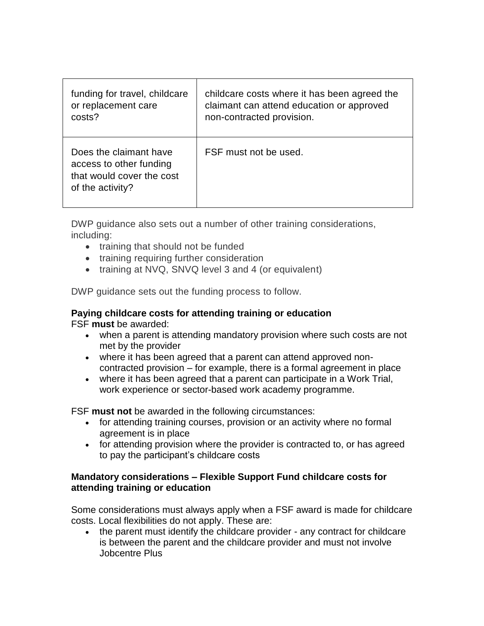| funding for travel, childcare                                                                      | childcare costs where it has been agreed the |
|----------------------------------------------------------------------------------------------------|----------------------------------------------|
| or replacement care                                                                                | claimant can attend education or approved    |
| costs?                                                                                             | non-contracted provision.                    |
| Does the claimant have<br>access to other funding<br>that would cover the cost<br>of the activity? | FSF must not be used.                        |

DWP guidance also sets out a number of other training considerations, including:

- training that should not be funded
- training requiring further consideration
- training at NVQ, SNVQ level 3 and 4 (or equivalent)

DWP guidance sets out the funding process to follow.

#### **Paying childcare costs for attending training or education** FSF **must** be awarded:

- when a parent is attending mandatory provision where such costs are not met by the provider
	- where it has been agreed that a parent can attend approved noncontracted provision – for example, there is a formal agreement in place
	- where it has been agreed that a parent can participate in a Work Trial, work experience or sector-based work academy programme.

FSF **must not** be awarded in the following circumstances:

- for attending training courses, provision or an activity where no formal agreement is in place
- for attending provision where the provider is contracted to, or has agreed to pay the participant's childcare costs

#### **Mandatory considerations – Flexible Support Fund childcare costs for attending training or education**

Some considerations must always apply when a FSF award is made for childcare costs. Local flexibilities do not apply. These are:

• the parent must identify the childcare provider - any contract for childcare is between the parent and the childcare provider and must not involve Jobcentre Plus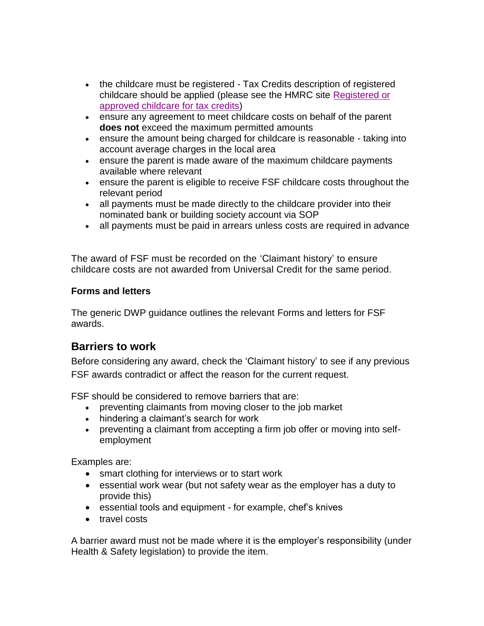- the childcare must be registered Tax Credits description of registered childcare should be applied (please see the HMRC site [Registered or](http://www.hmrc.gov.uk/taxcredits/start/who-qualifies/children/approved-childcare.htm)  [approved childcare for tax](http://www.hmrc.gov.uk/taxcredits/start/who-qualifies/children/approved-childcare.htm) credits)
- ensure any agreement to meet childcare costs on behalf of the parent **does not** exceed the maximum permitted amounts
- ensure the amount being charged for childcare is reasonable taking into account average charges in the local area
- ensure the parent is made aware of the maximum childcare payments available where relevant
- ensure the parent is eligible to receive FSF childcare costs throughout the relevant period
- all payments must be made directly to the childcare provider into their nominated bank or building society account via SOP
- all payments must be paid in arrears unless costs are required in advance

The award of FSF must be recorded on the 'Claimant history' to ensure childcare costs are not awarded from Universal Credit for the same period.

#### **Forms and letters**

The generic DWP guidance outlines the relevant Forms and letters for FSF awards.

## <span id="page-6-0"></span>**Barriers to work**

Before considering any award, check the 'Claimant history' to see if any previous FSF awards contradict or affect the reason for the current request.

FSF should be considered to remove barriers that are:

- preventing claimants from moving closer to the job market
- hindering a claimant's search for work
- preventing a claimant from accepting a firm job offer or moving into selfemployment

Examples are:

- smart clothing for interviews or to start work
- essential work wear (but not safety wear as the employer has a duty to provide this)
- essential tools and equipment for example, chef's knives
- travel costs

A barrier award must not be made where it is the employer's responsibility (under Health & Safety legislation) to provide the item.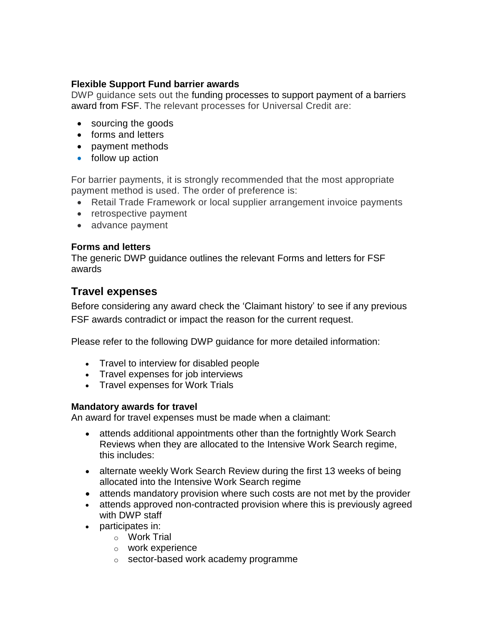#### **Flexible Support Fund barrier awards**

DWP guidance sets out the funding processes to support payment of a barriers award from FSF. The relevant processes for Universal Credit are:

- sourcing the goods
- forms and letters
- payment methods
- follow up action

For barrier payments, it is strongly recommended that the most appropriate payment method is used. The order of preference is:

- Retail Trade Framework or local supplier arrangement invoice payments
- retrospective payment
- advance payment

#### **Forms and letters**

The generic DWP guidance outlines the relevant Forms and letters for FSF awards

### <span id="page-7-0"></span>**Travel expenses**

Before considering any award check the 'Claimant history' to see if any previous FSF awards contradict or impact the reason for the current request.

Please refer to the following DWP guidance for more detailed information:

- Travel to interview for disabled people
- Travel expenses for job interviews
- Travel expenses for Work Trials

#### **Mandatory awards for travel**

An award for travel expenses must be made when a claimant:

- attends additional appointments other than the fortnightly Work Search Reviews when they are allocated to the Intensive Work Search regime, this includes:
- alternate weekly Work Search Review during the first 13 weeks of being allocated into the Intensive Work Search regime
- attends mandatory provision where such costs are not met by the provider
- attends approved non-contracted provision where this is previously agreed with DWP staff
- participates in:
	- o Work Trial
	- o work experience
	- o sector-based work academy programme